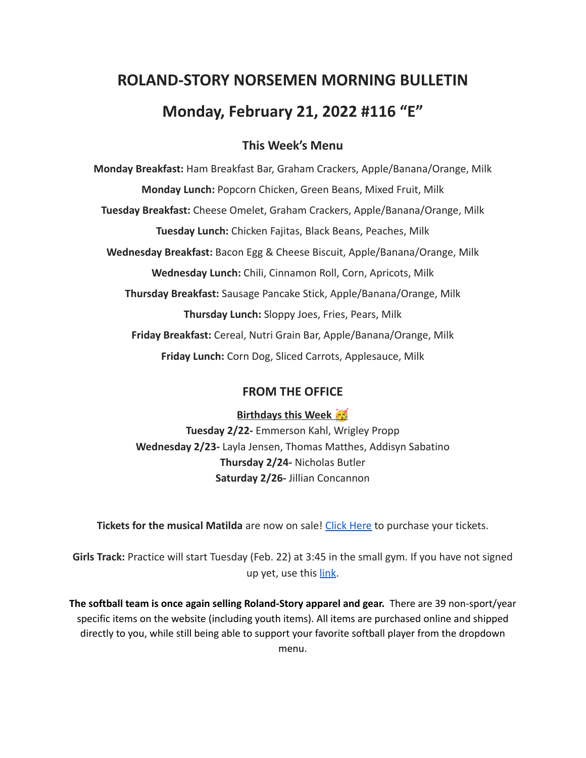# **ROLAND-STORY NORSEMEN MORNING BULLETIN Monday, February 21, 2022 #116 "E"**

# **This Week's Menu**

**Monday Breakfast:** Ham Breakfast Bar, Graham Crackers, Apple/Banana/Orange, Milk **Monday Lunch:** Popcorn Chicken, Green Beans, Mixed Fruit, Milk **Tuesday Breakfast:** Cheese Omelet, Graham Crackers, Apple/Banana/Orange, Milk **Tuesday Lunch:** Chicken Fajitas, Black Beans, Peaches, Milk **Wednesday Breakfast:** Bacon Egg & Cheese Biscuit, Apple/Banana/Orange, Milk **Wednesday Lunch:** Chili, Cinnamon Roll, Corn, Apricots, Milk **Thursday Breakfast:** Sausage Pancake Stick, Apple/Banana/Orange, Milk **Thursday Lunch:** Sloppy Joes, Fries, Pears, Milk **Friday Breakfast:** Cereal, Nutri Grain Bar, Apple/Banana/Orange, Milk **Friday Lunch:** Corn Dog, Sliced Carrots, Applesauce, Milk

## **FROM THE OFFICE**

**Birthdays this Week** 

**Tuesday 2/22-** Emmerson Kahl, Wrigley Propp **Wednesday 2/23-** Layla Jensen, Thomas Matthes, Addisyn Sabatino **Thursday 2/24-** Nicholas Butler **Saturday 2/26-** Jillian Concannon

**Tickets for the musical Matilda** are now on sale! Click [Here](https://events.ticketspicket.com/agency/a61f75f7-997a-4241-b0ab-0eae5600323f) to purchase your tickets.

**Girls Track:** Practice will start Tuesday (Feb. 22) at 3:45 in the small gym. If you have not signed up yet, use this [link](https://forms.gle/H76NKqNgBL63sSke7).

**The softball team is once again selling Roland-Story apparel and gear.** There are 39 non-sport/year specific items on the website (including youth items). All items are purchased online and shipped directly to you, while still being able to support your favorite softball player from the dropdown menu.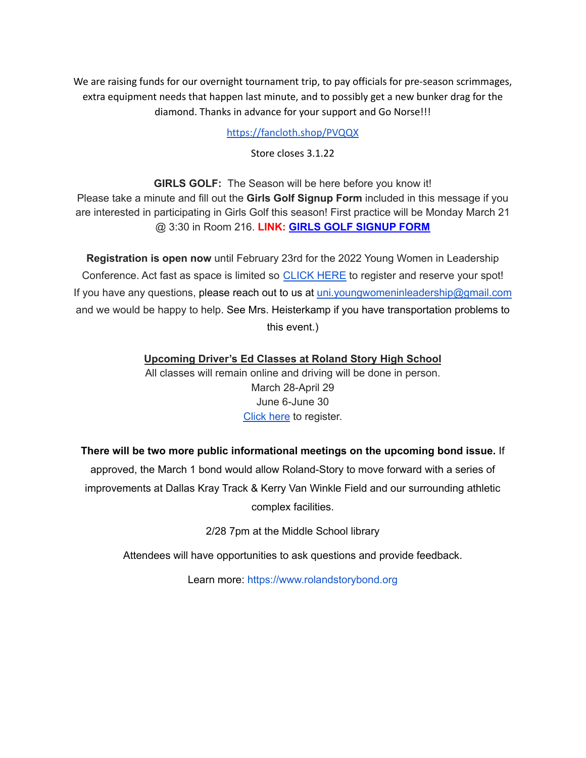We are raising funds for our overnight tournament trip, to pay officials for pre-season scrimmages, extra equipment needs that happen last minute, and to possibly get a new bunker drag for the diamond. Thanks in advance for your support and Go Norse!!!

<https://fancloth.shop/PVQQX>

Store closes 3.1.22

**GIRLS GOLF:** The Season will be here before you know it! Please take a minute and fill out the **Girls Golf Signup Form** included in this message if you are interested in participating in Girls Golf this season! First practice will be Monday March 21 @ 3:30 in Room 216. **LINK: GIRLS GOLF [SIGNUP](https://forms.gle/UVm68USy2mkrWNuQ7) FORM**

**Registration is open now** until February 23rd for the 2022 Young Women in Leadership Conference. Act fast as space is limited so [CLICK](https://event.formdash.org/2022/ywil/) HERE to register and reserve your spot! If you have any questions, please reach out to us at uni.youngwomeninleadership@gmail.com and we would be happy to help. See Mrs. Heisterkamp if you have transportation problems to this event.)

**Upcoming Driver's Ed Classes at Roland Story High School**

All classes will remain online and driving will be done in person. March 28-April 29 June 6-June 30 [Click](http://streetsmartsdriversed.com/) here to register.

## **There will be two more public informational meetings on the upcoming bond issue.** If

approved, the March 1 bond would allow Roland-Story to move forward with a series of improvements at Dallas Kray Track & Kerry Van Winkle Field and our surrounding athletic complex facilities.

2/28 7pm at the Middle School library

Attendees will have opportunities to ask questions and provide feedback.

Learn more: [https://www.rolandstorybond.org](https://www.rolandstorybond.org/?fbclid=IwAR3AJHhy8S8KvQsof-Z44UTrIBXDkOZFSdMyUXMovrg0bH3FkvkTprNkFuM)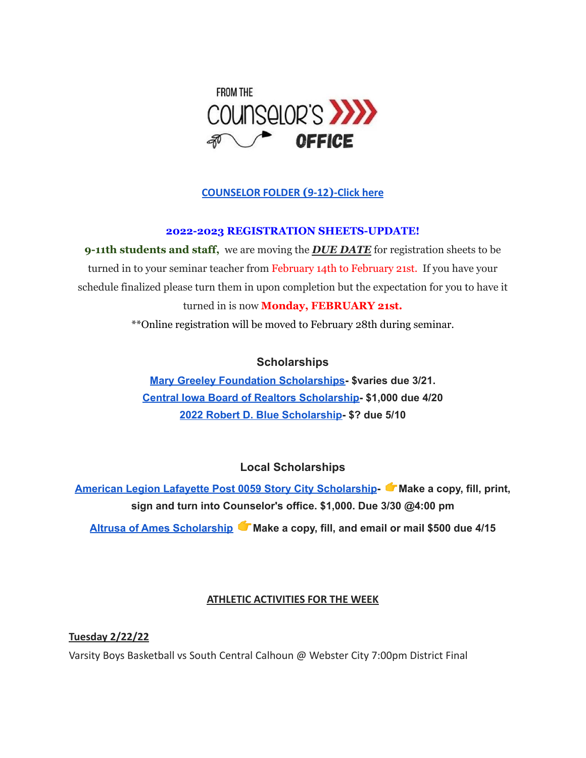

# **[COUNSELOR FOLDER](https://docs.google.com/document/d/1vmwczNPbDzXe9vFaG5LJMQ7NYDv-i4oQJHybqA65TUc/edit?usp=sharing) (9-12)-Click here**

#### **2022-2023 REGISTRATION SHEETS-UPDATE!**

**9-11th students and staff,** we are moving the *DUE DATE* for registration sheets to be turned in to your seminar teacher from February 14th to February 21st. If you have your schedule finalized please turn them in upon completion but the expectation for you to have it turned in is now **Monday, FEBRUARY 21st.**

\*\*Online registration will be moved to February 28th during seminar.

## **Scholarships**

**Mary Greeley Foundation [Scholarships-](https://docs.google.com/document/d/1cV2X1WgjAMIxvlQvS3xLxsQJRooZHcf7/edit?usp=sharing&ouid=117077516262516080506&rtpof=true&sd=true) \$varies due 3/21. Central Iowa Board of Realtors [Scholarship-](https://docs.google.com/document/d/118FuzzOexkI7TbBkChW_nQX4xH_6ldWOWNBAYiJ0nF4/edit?usp=sharing) \$1,000 due 4/20 2022 Robert D. Blue [Scholarship-](https://www.rdblue.org/) \$? due 5/10**

**Local Scholarships**

**American Legion Lafayette Post 0059 Story City [Scholarship](https://docs.google.com/document/d/1l-XzWNNfwZmA3zDkeW8VPeqqzYTnZ3IFLE4h0i05GGI/edit?usp=sharing)- Make a copy, fill, print, sign and turn into Counselor's office. \$1,000. Due 3/30 @4:00 pm Altrusa of Ames [Scholarship](https://docs.google.com/document/d/1pwO_l6ZBSDlI2aYi464Wp_1Ha8nwdfwR/edit?usp=sharing&ouid=117077516262516080506&rtpof=true&sd=true) Make a copy, fill, and email or mail \$500 due 4/15**

## **ATHLETIC ACTIVITIES FOR THE WEEK**

**Tuesday 2/22/22**

Varsity Boys Basketball vs South Central Calhoun @ Webster City 7:00pm District Final